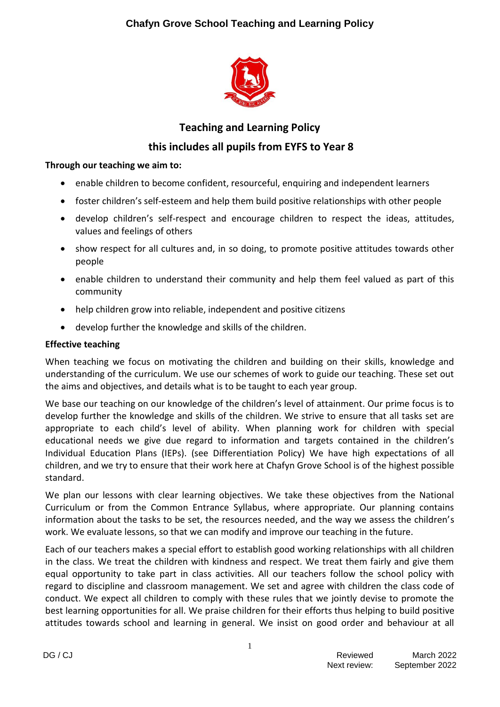# **Chafyn Grove School Teaching and Learning Policy**



# **Teaching and Learning Policy**

# **this includes all pupils from EYFS to Year 8**

### **Through our teaching we aim to:**

- enable children to become confident, resourceful, enquiring and independent learners
- foster children's self-esteem and help them build positive relationships with other people
- develop children's self-respect and encourage children to respect the ideas, attitudes, values and feelings of others
- show respect for all cultures and, in so doing, to promote positive attitudes towards other people
- enable children to understand their community and help them feel valued as part of this community
- help children grow into reliable, independent and positive citizens
- develop further the knowledge and skills of the children.

#### **Effective teaching**

When teaching we focus on motivating the children and building on their skills, knowledge and understanding of the curriculum. We use our schemes of work to guide our teaching. These set out the aims and objectives, and details what is to be taught to each year group.

We base our teaching on our knowledge of the children's level of attainment. Our prime focus is to develop further the knowledge and skills of the children. We strive to ensure that all tasks set are appropriate to each child's level of ability. When planning work for children with special educational needs we give due regard to information and targets contained in the children's Individual Education Plans (IEPs). (see Differentiation Policy) We have high expectations of all children, and we try to ensure that their work here at Chafyn Grove School is of the highest possible standard.

We plan our lessons with clear learning objectives. We take these objectives from the National Curriculum or from the Common Entrance Syllabus, where appropriate. Our planning contains information about the tasks to be set, the resources needed, and the way we assess the children's work. We evaluate lessons, so that we can modify and improve our teaching in the future.

Each of our teachers makes a special effort to establish good working relationships with all children in the class. We treat the children with kindness and respect. We treat them fairly and give them equal opportunity to take part in class activities. All our teachers follow the school policy with regard to discipline and classroom management. We set and agree with children the class code of conduct. We expect all children to comply with these rules that we jointly devise to promote the best learning opportunities for all. We praise children for their efforts thus helping to build positive attitudes towards school and learning in general. We insist on good order and behaviour at all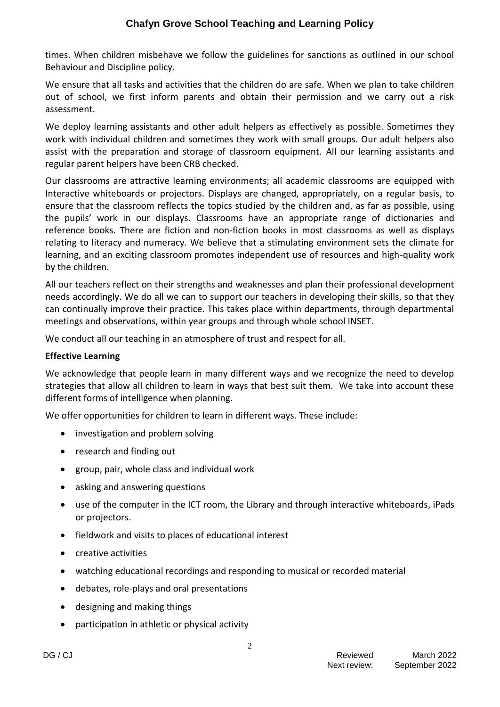times. When children misbehave we follow the guidelines for sanctions as outlined in our school Behaviour and Discipline policy.

We ensure that all tasks and activities that the children do are safe. When we plan to take children out of school, we first inform parents and obtain their permission and we carry out a risk assessment.

We deploy learning assistants and other adult helpers as effectively as possible. Sometimes they work with individual children and sometimes they work with small groups. Our adult helpers also assist with the preparation and storage of classroom equipment. All our learning assistants and regular parent helpers have been CRB checked.

Our classrooms are attractive learning environments; all academic classrooms are equipped with Interactive whiteboards or projectors. Displays are changed, appropriately, on a regular basis, to ensure that the classroom reflects the topics studied by the children and, as far as possible, using the pupils' work in our displays. Classrooms have an appropriate range of dictionaries and reference books. There are fiction and non-fiction books in most classrooms as well as displays relating to literacy and numeracy. We believe that a stimulating environment sets the climate for learning, and an exciting classroom promotes independent use of resources and high-quality work by the children.

All our teachers reflect on their strengths and weaknesses and plan their professional development needs accordingly. We do all we can to support our teachers in developing their skills, so that they can continually improve their practice. This takes place within departments, through departmental meetings and observations, within year groups and through whole school INSET.

We conduct all our teaching in an atmosphere of trust and respect for all.

## **Effective Learning**

We acknowledge that people learn in many different ways and we recognize the need to develop strategies that allow all children to learn in ways that best suit them. We take into account these different forms of intelligence when planning.

We offer opportunities for children to learn in different ways. These include:

- investigation and problem solving
- research and finding out
- group, pair, whole class and individual work
- asking and answering questions
- use of the computer in the ICT room, the Library and through interactive whiteboards, iPads or projectors.
- fieldwork and visits to places of educational interest
- creative activities
- watching educational recordings and responding to musical or recorded material
- debates, role-plays and oral presentations
- designing and making things
- participation in athletic or physical activity